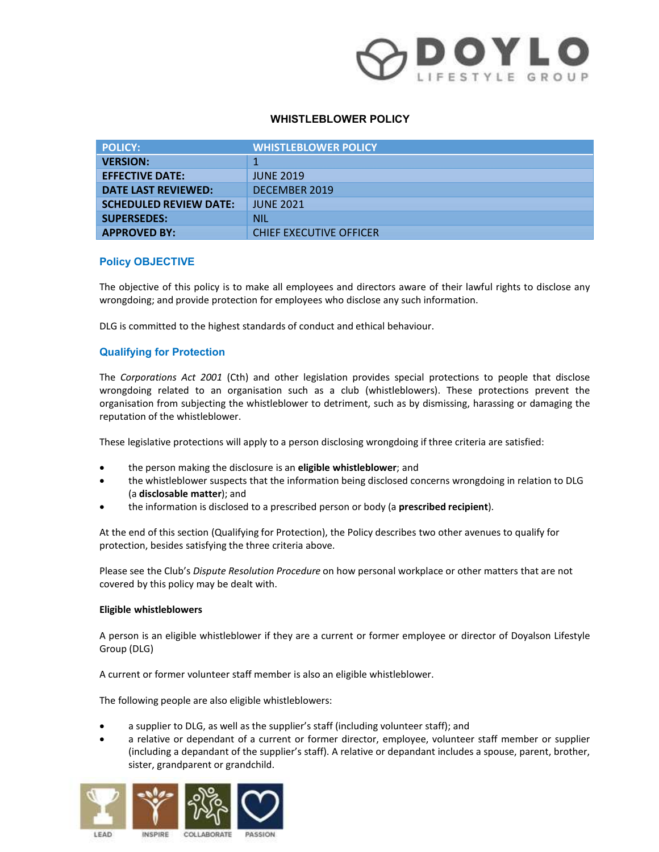### WHISTLEBLOWER POLICY

| DOYLO<br><b>WHISTLEBLOWER POLICY</b>                  |                                                                                                                                                                                                                                                                                                                                     |  |
|-------------------------------------------------------|-------------------------------------------------------------------------------------------------------------------------------------------------------------------------------------------------------------------------------------------------------------------------------------------------------------------------------------|--|
| <b>POLICY:</b>                                        | <b>WHISTLEBLOWER POLICY</b>                                                                                                                                                                                                                                                                                                         |  |
| <b>VERSION:</b>                                       | $\mathbf{1}$                                                                                                                                                                                                                                                                                                                        |  |
| <b>EFFECTIVE DATE:</b>                                | <b>JUNE 2019</b>                                                                                                                                                                                                                                                                                                                    |  |
| <b>DATE LAST REVIEWED:</b>                            | <b>DECEMBER 2019</b>                                                                                                                                                                                                                                                                                                                |  |
| <b>SCHEDULED REVIEW DATE:</b>                         | <b>JUNE 2021</b>                                                                                                                                                                                                                                                                                                                    |  |
| <b>SUPERSEDES:</b>                                    | <b>NIL</b>                                                                                                                                                                                                                                                                                                                          |  |
| <b>APPROVED BY:</b>                                   | <b>CHIEF EXECUTIVE OFFICER</b>                                                                                                                                                                                                                                                                                                      |  |
| <b>Policy OBJECTIVE</b>                               |                                                                                                                                                                                                                                                                                                                                     |  |
|                                                       | The objective of this policy is to make all employees and directors aware of their lawful rights to disclose any<br>wrongdoing; and provide protection for employees who disclose any such information.                                                                                                                             |  |
|                                                       | DLG is committed to the highest standards of conduct and ethical behaviour.                                                                                                                                                                                                                                                         |  |
| <b>Qualifying for Protection</b>                      |                                                                                                                                                                                                                                                                                                                                     |  |
| reputation of the whistleblower.                      | The Corporations Act 2001 (Cth) and other legislation provides special protections to people that disclose<br>wrongdoing related to an organisation such as a club (whistleblowers). These protections prevent the<br>organisation from subjecting the whistleblower to detriment, such as by dismissing, harassing or damaging the |  |
|                                                       | These legislative protections will apply to a person disclosing wrongdoing if three criteria are satisfied:                                                                                                                                                                                                                         |  |
| $\bullet$                                             | the person making the disclosure is an eligible whistleblower; and                                                                                                                                                                                                                                                                  |  |
| $\bullet$<br>(a disclosable matter); and<br>$\bullet$ | the whistleblower suspects that the information being disclosed concerns wrongdoing in relation to DLG<br>the information is disclosed to a prescribed person or body (a prescribed recipient).                                                                                                                                     |  |

### Policy OBJECTIVE

### Qualifying for Protection

SUPERSEDES:<br>
FOR CHIEF EXECUTIVE OFFICER<br>
The objectwe of this policy is to make all employees and directors aware of their lawful rights to disclose any<br>
two engotions and provide protection for employees who disclose any The Corporations Act 2001 (Cth) and other legislation provides special protections to people that disclose<br>wrongedien related to an organisation such as a club (whistleblowers). These protections prevent the<br>organisation f In Corporations Act 2000 L(tin) and other legislation provides special protocolons<br>
wrongdoing related to an organisation such as a club (whistleblowers). These pregnisation from subjecting the whistleblower to detriment,

- 
- (a disclosable matter); and organisation frim sugnecting in evinated<br>over these legislative protections will apply to a person disclosing wrongdoing if three criteria are satisfied:<br>
• the person making the disclosure is an eligible whistleblower; an
- the information is disclosed to a prescribed person or body (a prescribed recipient).

At the end of this section (Qualifying for Protection), the Policy describes two other avenues to qualify for protection, besides satisfying the three criteria above.

Please see the Club's Dispute Resolution Procedure on how personal workplace or other matters that are not covered by this policy may be dealt with.

### Eligible whistleblowers

- 
- These legislative protections will apply to a person disclosing wrongdoing if three criteria are satisfied:<br>
 the person making the disclosue is an **eligible whistleblower**; and<br>
the whistleblowers suppercible that the in a relative or dependant of a current or former director, employee, volunteer staff member or supplier the whisteletions is disclosed to a prescribed person or body (a **prescribed recipient)**.<br>
It is disclosed to a prescribed person or body (a **prescribed recipient)**.<br>
It is section (Qualifying for Protection), the Policy d Frances and the significant of a prescribed person or body (a **prescribed recipient**).<br>
Since the information is disclosed to a prescribed person or body (a **prescribed recipient**).<br>
Even do fit is section (Qualifying for

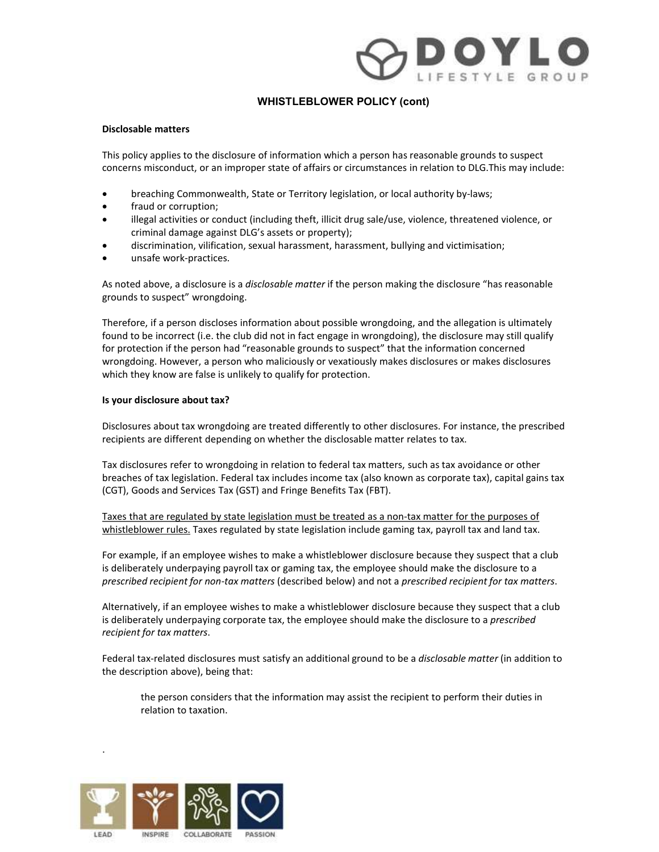# **Example 19 A PERICAL SET ALL AND PROPER POLICY (CONT)**<br> **Disclosable matters**<br>
This policy applies to the disclosure of information which a person has reasonable grounds to suspect<br>
concerns miscoduct, or an improper stat

### WHISTLEBLOWER POLICY (cont)

### Disclosable matters

This policy applies to the disclosure of information which a person has reasonable grounds to suspect

- 
- 
- criminal damage against DLG's assets or property);
- discrimination, vilification, sexual harassment, harassment, bullying and victimisation;
- unsafe work-practices.

As noted above, a disclosure is a *disclosable matter* if the person making the disclosure "has reasonable grounds to suspect" wrongdoing.

Therefore, if a person discloses information about possible wrongdoing, and the allegation is ultimately found to be incorrect (i.e. the club did not in fact engage in wrongdoing), the disclosure may still qualify for protection if the person had "reasonable grounds to suspect" that the information concerned wrongdoing. However, a person who maliciously or vexatiously makes disclosures or makes disclosures which they know are false is unlikely to qualify for protection. **4**<br>As noted above, a disclossorie is a *disclossoble matter* if the person making the disclossure "has reasonable<br>grounds to suspect" wrongdoing.<br>Therefore, if a person discloses information about possible wrongdoing, and As luctuation to suspect that the chalculation about possible wrongdoing, and the allegation is ultimately found to be incorrect (i.e. the chub did not in fact engage in wrongdoing, the disclosure inay is liqualify for pro product to the monified the cilcular out not in the tenger in wordgooning, the ususpect metal the present when the tendent on concerned for protection if the person in a "reasonable grounds to suspect" that the information

### Is your disclosure about tax?

Disclosures about tax wrongdoing are treated differently to other disclosures. For instance, the prescribed recipients are different depending on whether the disclosable matter relates to tax.

Tax disclosures refer to wrongdoing in relation to federal tax matters, such as tax avoidance or other breaches of tax legislation. Federal tax includes income tax (also known as corporate tax), capital gains tax (CGT), Goods and Services Tax (GST) and Fringe Benefits Tax (FBT).

Taxes that are regulated by state legislation must be treated as a non-tax matter for the purposes of

is deliberately underpaying payroll tax or gaming tax, the employee should make the disclosure to a

is deliberately underpaying corporate tax, the employee should make the disclosure to a prescribed recipient for tax matters.

Federal tax-related disclosures must satisfy an additional ground to be a *disclosable matter* (in addition to the description above), being that:

the person considers that the information may assist the recipient to perform their duties in relation to taxation.



.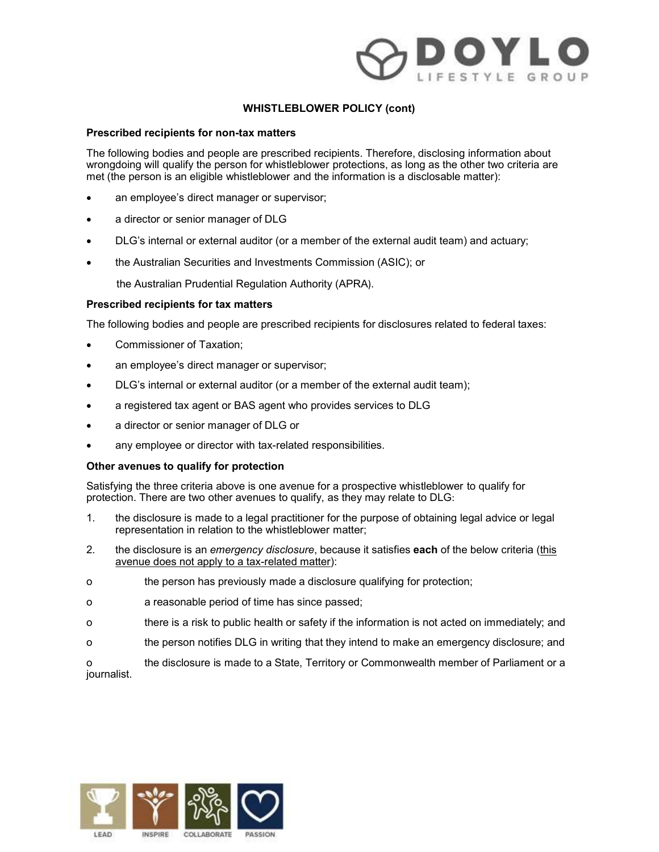

### Prescribed recipients for non-tax matters

The following bodies and people are prescribed recipients. Therefore, disclosing information about<br>wrongdoing will qualify the person for whistleblower protections, as long as the other two criteria are WHISTLEBLOWER POLICY (cont)<br>
Prescribed recipients for non-tax matters<br>
The following bodies and people are prescribed recipients. Therefore, disclosing information about<br>
wrongdoing will qualify the person for whistleblow **EXECUTE CONDUMERT (THE PERSON ISSUED)**<br> **Prescribed recipients for non-tax matters**<br>
The following bodies and people are prescribed recipients. Therefore, disclosing information about<br>
wrongdoing will qualify the person i

- 
- 
- DLG's internal or external auditor (or a member of the external audit team) and actuary;
- the Australian Securities and Investments Commission (ASIC); or

the Australian Prudential Regulation Authority (APRA).

### Prescribed recipients for tax matters

The following bodies and people are prescribed recipients for disclosures related to federal taxes:

- Commissioner of Taxation;
- an employee's direct manager or supervisor;
- DLG's internal or external auditor (or a member of the external audit team);
- a registered tax agent or BAS agent who provides services to DLG
- a director or senior manager of DLG or
- any employee or director with tax-related responsibilities.

### Other avenues to qualify for protection

protection. There are two other avenues to qualify, as they may relate to DLG:

- e a director or senior manager of DLG<br>
■D.G's internal or external auditor (or a member of the external audit team) and actuary;<br>
 the Australian Securities and Investments Commission (ASIC); or<br>
the Australian Prudenti representation in relation to the whistleblower matter;
- DLG's internal or external auditor (or a member of the external audit team) and actuary;<br>
 the Australian Prudential Regulation Authority (APRA).<br>
 No Australian Prudential Regulation Authority (APRA).<br>
 Prescribed the Australian Prudential Regulation Authority (APRA).<br> **Prescribed recipients for tax matters**<br>
The following bodies and people are prescribed recipients for disclosures related to federal taxes:<br>
• Commissioner of Taxati avenue does not apply to a tax-related matter): **Prescribed recipients for tax matters**<br>
The following bodies and people are prescribed recipients for disclosures related to federal taxes:<br>
• Commissioner of Taxation;<br>
• DLG's internal or extermal auditor (or a member o The following bodies and people are prescribed recipients for disclosures related to federal taxes:<br>
• Commissioner of Taxation;<br>
• DLG's internal or external auditor (or a member of the external audit team);<br>
• DLG's inte
- 
- 
- 
- 

• Commissioner of Taxation;<br>
• a rem)ployee's direct manager or supervisor;<br>
• LC's internal or external auditor (or a member of the external audit team).<br>
• a registered tax agent or BAS agent who provides services to D o the person and and the person and the external and it team):<br>
DLG's internal or external and it of promptore of the external and it team):<br>
a director or senior manager of DLG or<br>
any employee or director with tax-rela • DLG's internal or external auditor (or a member of the external audit team);<br>• a registered tax agent or BAS agent who provides services to DLG<br>• a riector or senior manager of DLG or<br>any employee or director with taxjournalist.

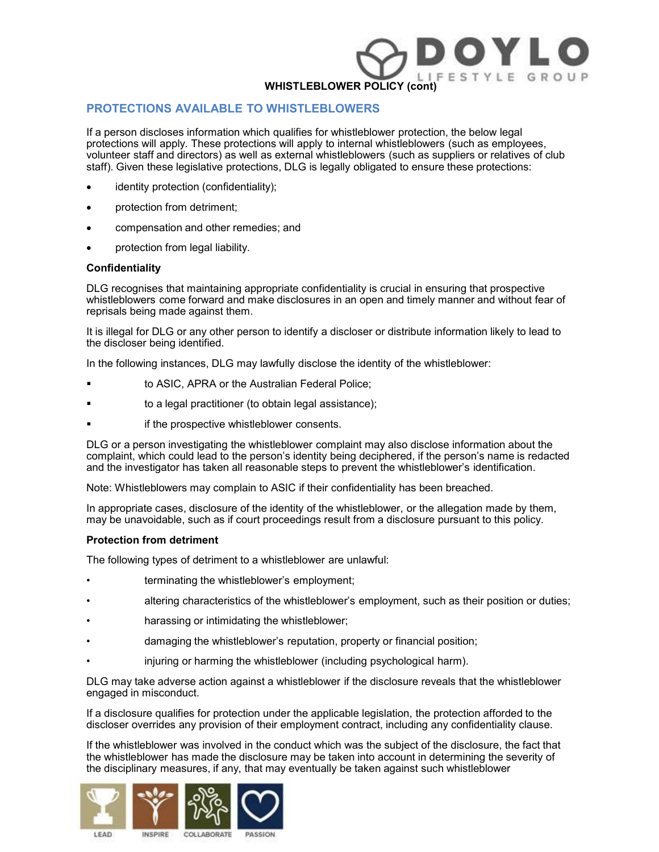### PROTECTIONS AVAILABLE TO WHISTLEBLOWERS

WHISTLEBLOWER POLICY (cont)<br>
IF E S T Y L E G R O U P<br>
If a person discloses information which qualifies for whistleblower protection, the below legal<br>
protections will apply. These protections will apply to internal whist WHISTLEBLOWER POLICY (cont)<br>
PROTECTIONS AVAILABLE TO WHISTLEBLOWERS<br>
If a person discloses information which qualifies for whistleblower protection, the below legal<br>
protections will apply. These protections will apply to WHISTLEBLOWER POLICY (cont)<br>
PROTECTIONS AVAILABLE TO WHISTLEBLOWERS<br>
If a person discloses information which qualifies for whistleblower protection, the below legal<br>
protections will apply. These protections will apply to staff). Given these legislative protections, DLG is legally obligated to ensure these protections: WHISTLEBLOWER POLICY (come)<br>
If a person discloses information which qualifies for whistleblower protection, the below legal<br>
protections will apply. These protections will apply to internal whistleblowers (such as employ

- identity protection (confidentiality);
- protection from detriment;
- compensation and other remedies; and
- protection from legal liability.

### Confidentiality

DLG recognises that maintaining appropriate confidentiality is crucial in ensuring that prospective reprisals being made against them.

It is illegal for DLG or any other person to identify a discloser or distribute information likely to lead to the discloser being identified.

In the following instances, DLG may lawfully disclose the identity of the whistleblower:

- to ASIC, APRA or the Australian Federal Police;
- to a legal practitioner (to obtain legal assistance);
- if the prospective whistleblower consents.

DLG or a person investigating the whistleblower complaint may also disclose information about the complaint, which could lead to the person's identity being deciphered, if the person's name is redacted and the investigator has taken all reasonable steps to prevent the whistleblower's identification. whistleblower's come forward and make obsolutes in an open and timely manner and<br>
it is illegal for DLG or any other person to identify a discloser or distribute information lift<br>
the discloser being identified.<br>
In the fo It is illegal for DLG or any other person to identify a discloser or distribute information likely to lead to<br>the discloser being derifined.<br>In the following instances, DLG may lawfully disclose the identity of the whistle the discloser being identified.<br>
In the following instances, DLG may lawfully disclose the identity of the whistleblower:<br>
• to ASIC, APRA or the Australian Federal Police;<br>
• to a legal practitioner (to obtain legal assis For the following instances, DLG may lawfully disclose the identity of the whistleblower:<br>
• to ASIC, APRA or the Australian Federal Police;<br>
• to also a legal practitioner (to obtain legal assistance);<br>
• it the prospecti • in the prospective whisteleblower consents.<br>• in the prospective whistleblower complaint may also disclose information about the<br>
• if the prospective whistleblower complaint may also disclose information about the<br>
buG

Note: Whistleblowers may complain to ASIC if their confidentiality has been breached.

In appropriate cases, disclosure of the identity of the whistleblower, or the allegation made by them, may be unavoidable, such as if court proceedings result from a disclosure pursuant to this policy.

### Protection from detriment

The following types of detriment to a whistleblower are unlawful:

- 
- 
- 
- 
- 

DLG may take adverse action against a whistleblower if the disclosure reveals that the whistleblower engaged in misconduct.

If a disclosure qualifies for protection under the applicable legislation, the protection afforded to the discloser overrides any provision of their employment contract, including any confidentiality clause.

If the whistleblower was involved in the conduct which was the subject of the disclosure, the fact that the whistleblower has made the disclosure may be taken into account in determining the severity of Note: Whistleblowers may complain to ASIC if their confidentiality has been breached.<br>
In appropriate cases, disclosure of the identity of the whistleblower, or the allegation made by them,<br>
may be unavoidable, such as if the disciplinary measures, if any, that may eventually be taken against such whistleblower





INSPIRE



**LEAD** 

COLLABORATE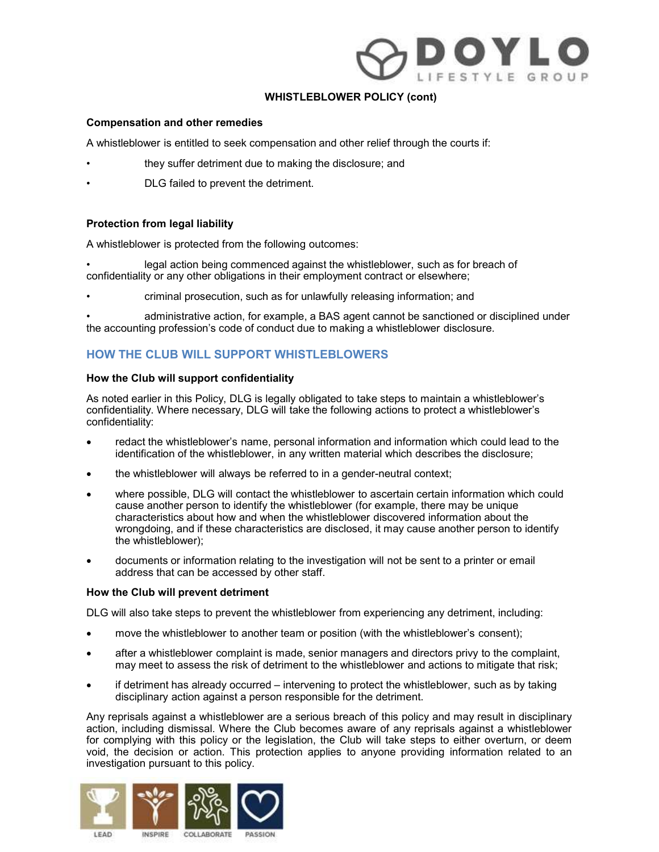## WHISTLEBLOWER POLICY (cont)<br>
Compensation and other remedies<br>
A whistleblower is entitled to seek compensation and other relief through the courts if:<br>
. they suffer detriment due to making the disclosure; and<br>
Protection **EXECUTE:**<br>
• WHISTLEBLOWER POLICY (cont)<br>
• A whistleblower is entitled to seek compensation and other relief through the courts if:<br>
• they suffer detriment due to making the disclosure; and<br>
• DLG failed to prevent the **EXECTS AT A COMMON COMPERED WER POLICY (cont)**<br> **Compensation and other remedies**<br>
A whistleblower is entitled to seek compensation and other relief through the courts if:<br>
they suffer detriment due to making the disclosu **EXECUTE COMPRESS WERE A SET AND MANUST COMPRESS A UP WHISTLEBLOWER POLICY (cont)**<br>
Compensation and other remedies<br>
A whistleblower is entilled to seek compensation and other relief through the courts if:<br>
they suffer de • administrative action, for example, a BAS agent cannot be sanctioned or disciplined under

### WHISTLEBLOWER POLICY (cont)

### Compensation and other remedies

A whistleblower is entitled to seek compensation and other relief through the courts if:

- 
- 

### Protection from legal liability

A whistleblower is protected from the following outcomes:

- confidentiality or any other obligations in their employment contract or elsewhere;
- 

the accounting profession's code of conduct due to making a whistleblower disclosure.

### HOW THE CLUB WILL SUPPORT WHISTLEBLOWERS

### How the Club will support confidentiality

As noted earlier in this Policy, DLG is legally obligated to take steps to maintain a whistleblower's confidentiality. Where necessary, DLG will take the following actions to protect a whistleblower's confidentiality: Frontection from legal liability<br>
Protection from legal liability<br>
A whistleblower is protected from the following outcomes:<br>
Legal action being commenced against the whistleblower, such as for breach of<br>
confidentiality o

- identification of the whistleblower, in any written material which describes the disclosure;
- 
- the whistleblower will always be referred to in a gender-neutral context; where possible, DLG will contact the whistleblower to ascertain certain information which could cutor informing and anomay legar anomay legar the whistleblower, such as for breach of<br>legal action being commenced against the whistleblower, such as for breach of<br>entiality or any other obligations in their employment co dieblower is protected from the following outcomes:<br>
legal action being commenced against the whistleblower, such as for breach of<br>
entitality or any other obligations in their employment contract or elsewhere;<br>
criminal p wrongdoing, and if these characteristics are disclosed, it may cause another person to identify the whistleblower); In Owe The CUB WILL SUPPORT WHISTLEBLOWERS<br>
HOW THE CLUB WILL SUPPORT WHISTLEBLOWERS<br>
How the Club Will support confidentiality<br>
As noted earlier in this Policy, D.I.C is legally obligated to take steps to maintain a whist As noted earlier in this Policy, DLG is legally obligated to take steps to maintain a whistleblower's<br>confidentiality. Where necessary, DLG will take the following actions to protect a whistleblower's<br>confidentiality.<br>
• r
- documents or information relating to the investigation will not be sent to a printer or email address that can be accessed by other staff.

### How the Club will prevent detriment

- 
- 
- disciplinary action against a person responsible for the detriment.

• reatart the whistleblower's name, personal information and information which could lead to the disclosure;<br>
• the whistleblower will always be referred to in a gender-neutral context;<br>
• where possible, DLG will contact identification of the whistleblower, in any written material which describes the disclosure;<br>
• the whistleblower will always be referred to in a gender-neutral context;<br>
• where possible, DLG will contact the whistleblow For the whistleblower will always be referred to in a gender-neutral context;<br>
• where possible, DLG will contact the whistleblower (to example, there may be unique chancelerislics about how and when the whistleblower disc The whistleblower will always be referred to in a gender-neutral context;<br>
where possible, DLC will contact the whistleblower (for example, there may be unique<br>
characteristics about how and when the whistleblower (for exa investigation pursuant to this policy.

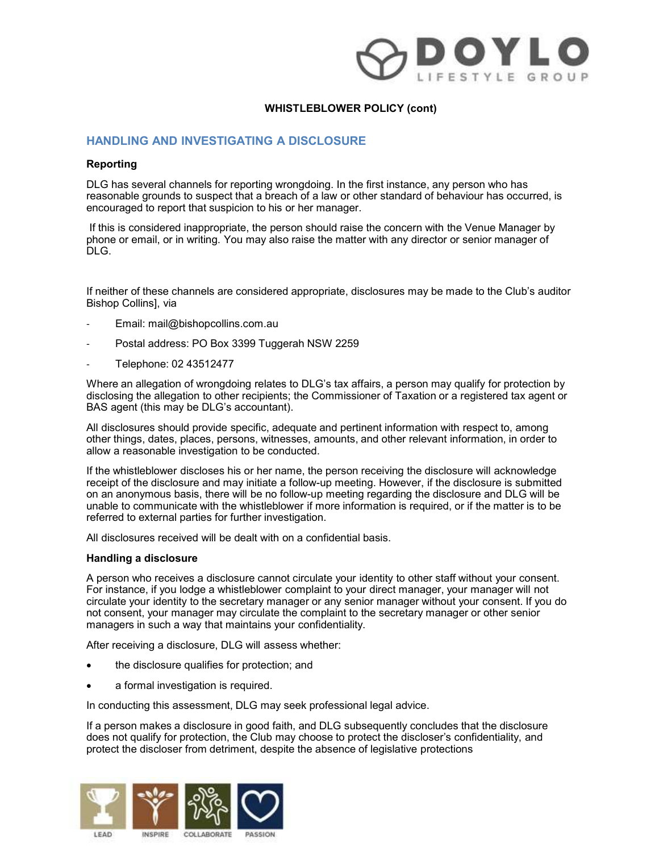

### HANDLING AND INVESTIGATING A DISCLOSURE

### Reporting

DLG has several channels for reporting wrongdoing. In the first instance, any person who has reasonable grounds to suspect that a breach of a law or other standard of behaviour has occurred, is encouraged to report that suspicion to his or her manager.

If this is considered inappropriate, the person should raise the concern with the Venue Manager by phone or email, or in writing. You may also raise the matter with any director or senior manager of DLG.

If neither of these channels are considered appropriate, disclosures may be made to the Club's auditor Bishop Collins], via

- Email: mail@bishopcollins.com.au
- Postal address: PO Box 3399 Tuggerah NSW 2259
- Telephone: 02 43512477

Where an allegation of wrongdoing relates to DLG's tax affairs, a person may qualify for protection by disclosing the allegation to other recipients; the Commissioner of Taxation or a registered tax agent or BAS agent (this may be DLG's accountant).

All disclosures should provide specific, adequate and pertinent information with respect to, among other things, dates, places, persons, witnesses, amounts, and other relevant information, in order to allow a reasonable investigation to be conducted.

reasonable grounds to suspect that a breach of a law or other standard of behaviour has occurred, is<br>encouraged to report that suspicion to his or her manager.<br>If this is considered inappropriate, the person should raise t receipt of the disclosure and may initiate a follow-up meeting. However, if the disclosure is submitted on an anonymous basis, there will be no follow-up meeting regarding the disclosure and DLG will be If this is considered inappropriate, the person should raise the concern with the Venue Manager by<br>DLG.<br>DLG.<br>Theither of these channels are considered appropriate, disclosures may be made to the Club's auditor<br>Bishop Colli referred to external parties for further investigation.

All disclosures received will be dealt with on a confidential basis.

### Handling a disclosure

A person who receives a disclosure cannot circulate your identity to other staff without your consent. For instance is the method of the method of the secretic manager will all the secretic manager in the secretic manager in the method manager in the complete manager of the secretic manager of the secretic manager of the se circulate your identity to the secretary manager or any senior manager without your consent. If you do not consent, your manager may circulate the complaint to the secretary manager or other senior managers in such a way that maintains your confidentiality.

After receiving a disclosure, DLG will assess whether:

- the disclosure qualifies for protection; and
- a formal investigation is required.

In conducting this assessment, DLG may seek professional legal advice.

If a person makes a disclosure in good faith, and DLG subsequently concludes that the disclosure does not qualify for protection, the Club may choose to protect the discloser's confidentiality, and protect the discloser from detriment, despite the absence of legislative protections